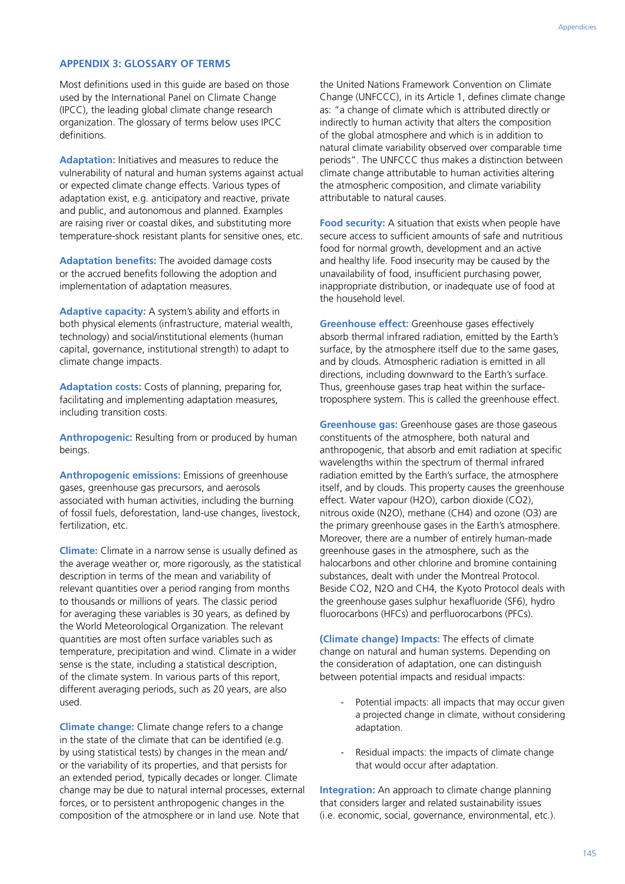## **Appendix 3: Glossary of terms**

Most definitions used in this guide are based on those used by the International Panel on Climate Change (IPCC), the leading global climate change research organization. The glossary of terms below uses IPCC definitions.

**Adaptation:** Initiatives and measures to reduce the vulnerability of natural and human systems against actual or expected climate change effects. Various types of adaptation exist, e.g. anticipatory and reactive, private and public, and autonomous and planned. Examples are raising river or coastal dikes, and substituting more temperature-shock resistant plants for sensitive ones, etc.

**Adaptation benefits:** The avoided damage costs or the accrued benefits following the adoption and implementation of adaptation measures.

**Adaptive capacity:** A system's ability and efforts in both physical elements (infrastructure, material wealth, technology) and social/institutional elements (human capital, governance, institutional strength) to adapt to climate change impacts.

**Adaptation costs:** Costs of planning, preparing for, facilitating and implementing adaptation measures, including transition costs.

**Anthropogenic:** Resulting from or produced by human beings.

**Anthropogenic emissions:** Emissions of greenhouse gases, greenhouse gas precursors, and aerosols associated with human activities, including the burning of fossil fuels, deforestation, land-use changes, livestock, fertilization, etc.

**Climate:** Climate in a narrow sense is usually defined as the average weather or, more rigorously, as the statistical description in terms of the mean and variability of relevant quantities over a period ranging from months to thousands or millions of years. The classic period for averaging these variables is 30 years, as defined by the World Meteorological Organization. The relevant quantities are most often surface variables such as temperature, precipitation and wind. Climate in a wider sense is the state, including a statistical description, of the climate system. In various parts of this report, different averaging periods, such as 20 years, are also used.

**Climate change:** Climate change refers to a change in the state of the climate that can be identified (e.g. by using statistical tests) by changes in the mean and/ or the variability of its properties, and that persists for an extended period, typically decades or longer. Climate change may be due to natural internal processes, external forces, or to persistent anthropogenic changes in the composition of the atmosphere or in land use. Note that

the United Nations Framework Convention on Climate Change (UNFCCC), in its Article 1, defines climate change as: "a change of climate which is attributed directly or indirectly to human activity that alters the composition of the global atmosphere and which is in addition to natural climate variability observed over comparable time periods". The UNFCCC thus makes a distinction between climate change attributable to human activities altering the atmospheric composition, and climate variability attributable to natural causes.

**Food security:** A situation that exists when people have secure access to sufficient amounts of safe and nutritious food for normal growth, development and an active and healthy life. Food insecurity may be caused by the unavailability of food, insufficient purchasing power, inappropriate distribution, or inadequate use of food at the household level.

**Greenhouse effect:** Greenhouse gases effectively absorb thermal infrared radiation, emitted by the Earth's surface, by the atmosphere itself due to the same gases, and by clouds. Atmospheric radiation is emitted in all directions, including downward to the Earth's surface. Thus, greenhouse gases trap heat within the surfacetroposphere system. This is called the greenhouse effect.

**Greenhouse gas:** Greenhouse gases are those gaseous constituents of the atmosphere, both natural and anthropogenic, that absorb and emit radiation at specific wavelengths within the spectrum of thermal infrared radiation emitted by the Earth's surface, the atmosphere itself, and by clouds. This property causes the greenhouse effect. Water vapour (H2O), carbon dioxide (CO2), nitrous oxide (N2O), methane (CH4) and ozone (O3) are the primary greenhouse gases in the Earth's atmosphere. Moreover, there are a number of entirely human-made greenhouse gases in the atmosphere, such as the halocarbons and other chlorine and bromine containing substances, dealt with under the Montreal Protocol. Beside CO2, N2O and CH4, the Kyoto Protocol deals with the greenhouse gases sulphur hexafluoride (SF6), hydro fluorocarbons (HFCs) and perfluorocarbons (PFCs).

**(Climate change) Impacts:** The effects of climate change on natural and human systems. Depending on the consideration of adaptation, one can distinguish between potential impacts and residual impacts:

- Potential impacts: all impacts that may occur given a projected change in climate, without considering adaptation.
- Residual impacts: the impacts of climate change that would occur after adaptation.

**Integration:** An approach to climate change planning that considers larger and related sustainability issues (i.e. economic, social, governance, environmental, etc.).